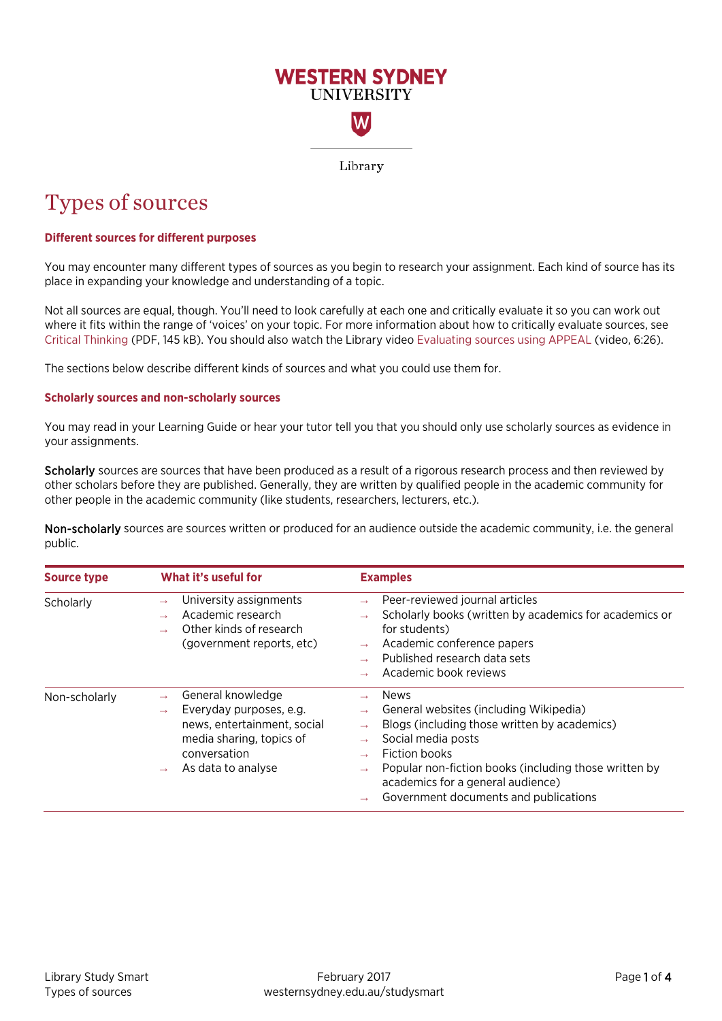

Library

# Types of sources

# **Different sources for different purposes**

You may encounter many different types of sources as you begin to research your assignment. Each kind of source has its place in expanding your knowledge and understanding of a topic.

Not all sources are equal, though. You'll need to look carefully at each one and critically evaluate it so you can work out where it fits within the range of 'voices' on your topic. For more information about how to critically evaluate sources, see [Critical Thinking](https://www.westernsydney.edu.au/__data/assets/pdf_file/0006/1082382/Critical_Thinking.pdf) (PDF, 145 kB). You should also watch the Library video [Evaluating sources using APPEAL](https://www.youtube.com/watch?v=jEsHKNZJHas) (video, 6:26).

The sections below describe different kinds of sources and what you could use them for.

## **Scholarly sources and non-scholarly sources**

You may read in your Learning Guide or hear your tutor tell you that you should only use scholarly sources as evidence in your assignments.

Scholarly sources are sources that have been produced as a result of a rigorous research process and then reviewed by other scholars before they are published. Generally, they are written by qualified people in the academic community for other people in the academic community (like students, researchers, lecturers, etc.).

Non-scholarly sources are sources written or produced for an audience outside the academic community, i.e. the general public.

| Source type   | What it's useful for                                                                                                                                           | <b>Examples</b>                                                                                                                                                                                                                                                              |
|---------------|----------------------------------------------------------------------------------------------------------------------------------------------------------------|------------------------------------------------------------------------------------------------------------------------------------------------------------------------------------------------------------------------------------------------------------------------------|
| Scholarly     | University assignments<br>$\rightarrow$<br>Academic research<br>Other kinds of research<br>(government reports, etc)                                           | Peer-reviewed journal articles<br>Scholarly books (written by academics for academics or<br>for students)<br>Academic conference papers<br>$\rightarrow$<br>Published research data sets<br>Academic book reviews                                                            |
| Non-scholarly | General knowledge<br>Everyday purposes, e.g.<br>$\rightarrow$<br>news, entertainment, social<br>media sharing, topics of<br>conversation<br>As data to analyse | News<br>General websites (including Wikipedia)<br>Blogs (including those written by academics)<br>Social media posts<br>Fiction books<br>Popular non-fiction books (including those written by<br>academics for a general audience)<br>Government documents and publications |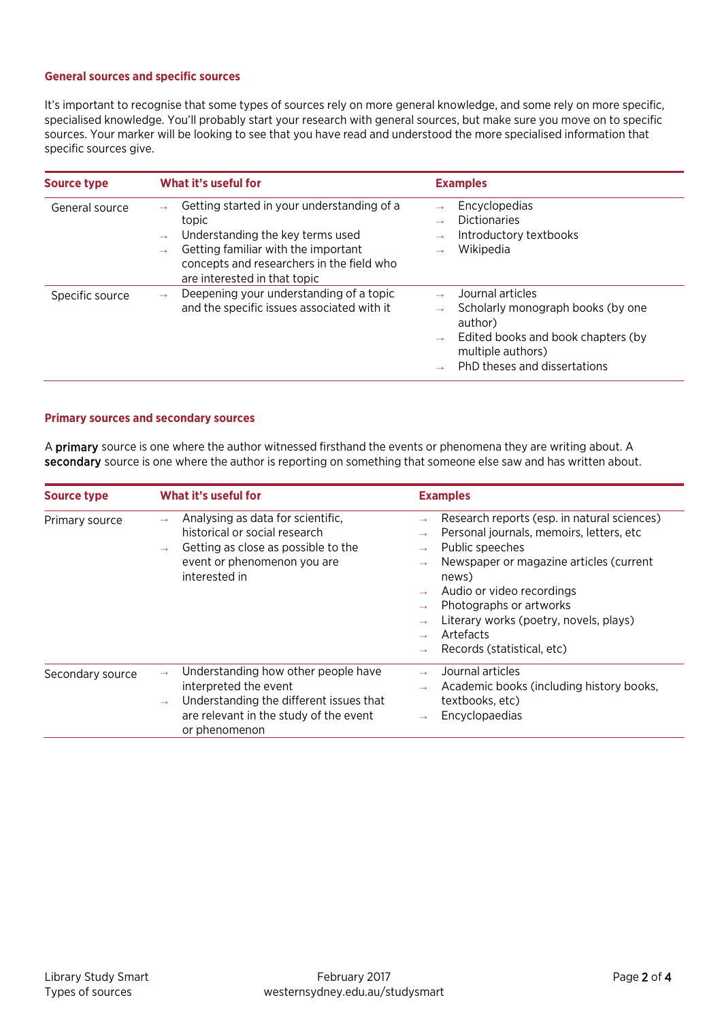### **General sources and specific sources**

It's important to recognise that some types of sources rely on more general knowledge, and some rely on more specific, specialised knowledge. You'll probably start your research with general sources, but make sure you move on to specific sources. Your marker will be looking to see that you have read and understood the more specialised information that specific sources give.

| <b>Source type</b> | What it's useful for                                                                                                                                                                                        | <b>Examples</b>                                                                                                                                             |
|--------------------|-------------------------------------------------------------------------------------------------------------------------------------------------------------------------------------------------------------|-------------------------------------------------------------------------------------------------------------------------------------------------------------|
| General source     | Getting started in your understanding of a<br>topic<br>Understanding the key terms used<br>Getting familiar with the important<br>concepts and researchers in the field who<br>are interested in that topic | Encyclopedias<br>$\rightarrow$<br><b>Dictionaries</b><br>Introductory textbooks<br>Wikipedia                                                                |
| Specific source    | Deepening your understanding of a topic<br>$\rightarrow$<br>and the specific issues associated with it                                                                                                      | Journal articles<br>Scholarly monograph books (by one<br>author)<br>Edited books and book chapters (by<br>multiple authors)<br>PhD theses and dissertations |

# **Primary sources and secondary sources**

A primary source is one where the author witnessed firsthand the events or phenomena they are writing about. A secondary source is one where the author is reporting on something that someone else saw and has written about.

| <b>Source type</b> | What it's useful for                                                                                                                                                                                 | <b>Examples</b>                                                                                                                                                                                                                                                                                                                                                                                                    |  |  |  |
|--------------------|------------------------------------------------------------------------------------------------------------------------------------------------------------------------------------------------------|--------------------------------------------------------------------------------------------------------------------------------------------------------------------------------------------------------------------------------------------------------------------------------------------------------------------------------------------------------------------------------------------------------------------|--|--|--|
| Primary source     | Analysing as data for scientific,<br>$\rightarrow$<br>historical or social research<br>Getting as close as possible to the<br>$\rightarrow$<br>event or phenomenon you are<br>interested in          | Research reports (esp. in natural sciences)<br>$\rightarrow$<br>Personal journals, memoirs, letters, etc.<br>$\rightarrow$<br>Public speeches<br>$\rightarrow$<br>Newspaper or magazine articles (current<br>$\rightarrow$<br>news)<br>Audio or video recordings<br>Photographs or artworks<br>$\rightarrow$<br>Literary works (poetry, novels, plays)<br>Artefacts<br>Records (statistical, etc)<br>$\rightarrow$ |  |  |  |
| Secondary source   | Understanding how other people have<br>$\rightarrow$<br>interpreted the event<br>Understanding the different issues that<br>$\rightarrow$<br>are relevant in the study of the event<br>or phenomenon | Journal articles<br>$\rightarrow$<br>Academic books (including history books,<br>$\rightarrow$<br>textbooks, etc)<br>Encyclopaedias<br>$\rightarrow$                                                                                                                                                                                                                                                               |  |  |  |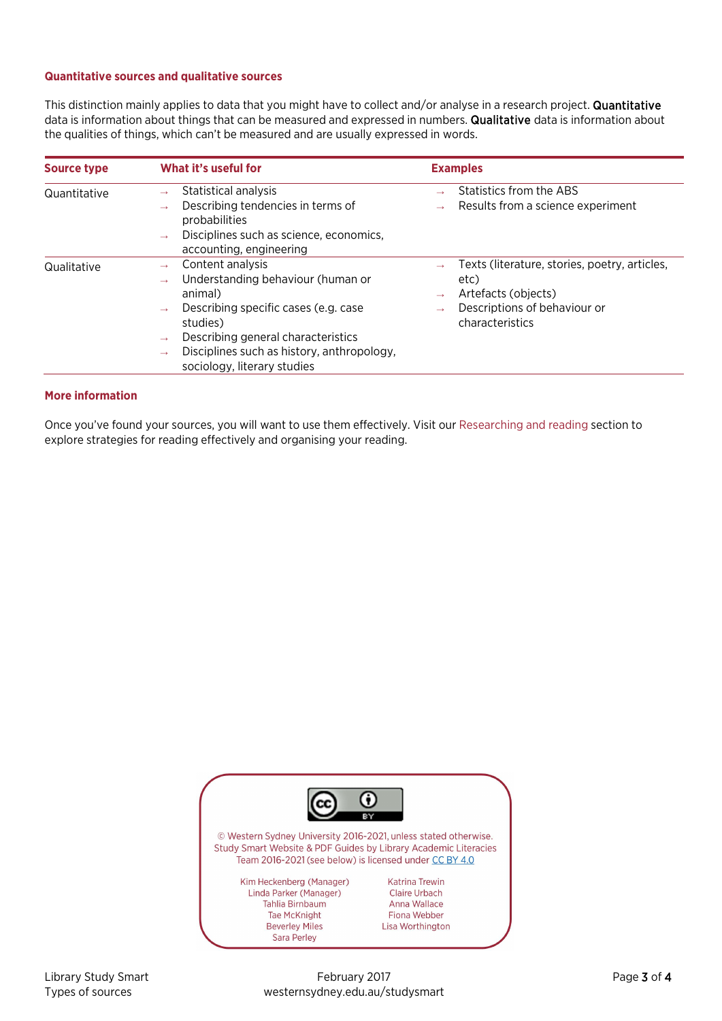#### **Quantitative sources and qualitative sources**

This distinction mainly applies to data that you might have to collect and/or analyse in a research project. Quantitative data is information about things that can be measured and expressed in numbers. **Qualitative** data is information about the qualities of things, which can't be measured and are usually expressed in words.

| <b>Source type</b> | What it's useful for                                                                                                                                                                                                                                                                                                         | <b>Examples</b>                                                                                                                                                   |  |  |  |
|--------------------|------------------------------------------------------------------------------------------------------------------------------------------------------------------------------------------------------------------------------------------------------------------------------------------------------------------------------|-------------------------------------------------------------------------------------------------------------------------------------------------------------------|--|--|--|
| Quantitative       | Statistical analysis<br>$\rightarrow$<br>Describing tendencies in terms of<br>$\rightarrow$<br>probabilities<br>Disciplines such as science, economics,<br>$\rightarrow$<br>accounting, engineering                                                                                                                          | Statistics from the ABS<br>Results from a science experiment<br>$\rightarrow$                                                                                     |  |  |  |
| Qualitative        | Content analysis<br>$\rightarrow$<br>Understanding behaviour (human or<br>$\rightarrow$<br>animal)<br>Describing specific cases (e.g. case<br>$\rightarrow$<br>studies)<br>Describing general characteristics<br>$\rightarrow$<br>Disciplines such as history, anthropology,<br>$\rightarrow$<br>sociology, literary studies | Texts (literature, stories, poetry, articles,<br>etc)<br>Artefacts (objects)<br>$\rightarrow$<br>Descriptions of behaviour or<br>$\rightarrow$<br>characteristics |  |  |  |

## **More information**

Once you've found your sources, you will want to use them effectively. Visit ou[r Researching and reading](https://westernsydney.edu.au/studysmart/home/assignment_help/researching_and_reading) section to explore strategies for reading effectively and organising your reading.